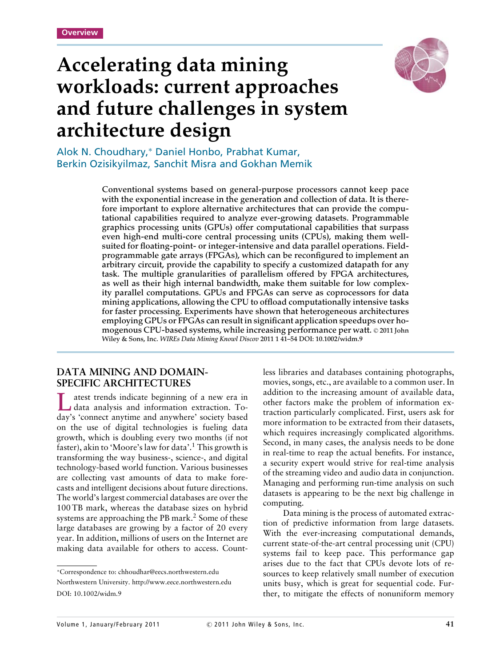# **Accelerating data mining workloads: current approaches and future challenges in system architecture design**



Alok N. Choudhary,∗ Daniel Honbo, Prabhat Kumar, Berkin Ozisikyilmaz, Sanchit Misra and Gokhan Memik

> **Conventional systems based on general-purpose processors cannot keep pace with the exponential increase in the generation and collection of data. It is therefore important to explore alternative architectures that can provide the computational capabilities required to analyze ever-growing datasets. Programmable graphics processing units (GPUs) offer computational capabilities that surpass even high-end multi-core central processing units (CPUs), making them wellsuited for floating-point- or integer-intensive and data parallel operations. Fieldprogrammable gate arrays (FPGAs), which can be reconfigured to implement an arbitrary circuit, provide the capability to specify a customized datapath for any task. The multiple granularities of parallelism offered by FPGA architectures, as well as their high internal bandwidth, make them suitable for low complexity parallel computations. GPUs and FPGAs can serve as coprocessors for data mining applications, allowing the CPU to offload computationally intensive tasks for faster processing. Experiments have shown that heterogeneous architectures employing GPUs or FPGAs can result in significant application speedups over homogenous CPU-based systems, while increasing performance per watt.**  $\circ$  2011 John **Wiley & Sons, Inc.** *WIREs Data Mining Knowl Discov* **2011 1 41–54 DOI: 10.1002/widm.9**

#### **DATA MINING AND DOMAIN-SPECIFIC ARCHITECTURES**

Latest trends indicate beginning of a new era in<br>data analysis and information extraction. To-<br>day's 'connect anytime and anywhere' society based day's 'connect anytime and anywhere' society based on the use of digital technologies is fueling data growth, which is doubling every two months (if not faster), akin to 'Moore's law for data'.<sup>1</sup> This growth is transforming the way business-, science-, and digital technology-based world function. Various businesses are collecting vast amounts of data to make forecasts and intelligent decisions about future directions. The world's largest commercial databases are over the 100 TB mark, whereas the database sizes on hybrid systems are approaching the PB mark.<sup>2</sup> Some of these large databases are growing by a factor of 20 every year. In addition, millions of users on the Internet are making data available for others to access. Countless libraries and databases containing photographs, movies, songs, etc., are available to a common user. In addition to the increasing amount of available data, other factors make the problem of information extraction particularly complicated. First, users ask for more information to be extracted from their datasets, which requires increasingly complicated algorithms. Second, in many cases, the analysis needs to be done in real-time to reap the actual benefits. For instance, a security expert would strive for real-time analysis of the streaming video and audio data in conjunction. Managing and performing run-time analysis on such datasets is appearing to be the next big challenge in computing.

Data mining is the process of automated extraction of predictive information from large datasets. With the ever-increasing computational demands, current state-of-the-art central processing unit (CPU) systems fail to keep pace. This performance gap arises due to the fact that CPUs devote lots of resources to keep relatively small number of execution units busy, which is great for sequential code. Further, to mitigate the effects of nonuniform memory

<sup>∗</sup>Correspondence to: chhoudhar@eecs.northwestern.edu Northwestern University. http://www.eece.northwestern.edu DOI: 10.1002/widm.9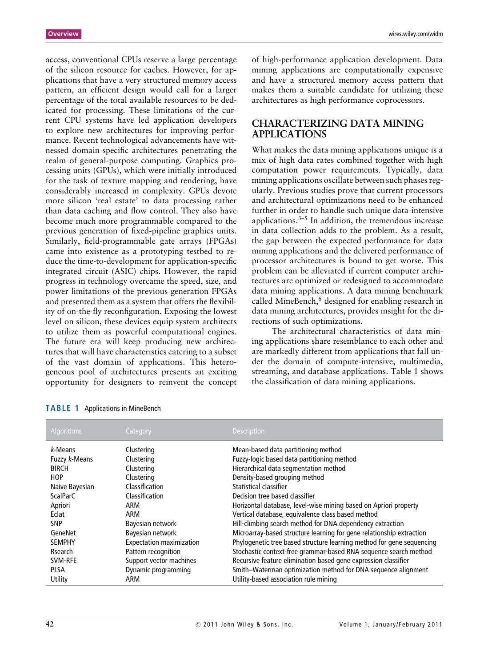access, conventional CPUs reserve a large percentage of the silicon resource for caches. However, for applications that have a very structured memory access pattern, an efficient design would call for a larger percentage of the total available resources to be dedicated for processing. These limitations of the current CPU systems have led application developers to explore new architectures for improving performance. Recent technological advancements have witnessed domain-specific architectures penetrating the realm of general-purpose computing. Graphics processing units (GPUs), which were initially introduced for the task of texture mapping and rendering, have considerably increased in complexity. GPUs devote more silicon 'real estate' to data processing rather than data caching and flow control. They also have become much more programmable compared to the previous generation of fixed-pipeline graphics units. Similarly, field-programmable gate arrays (FPGAs) came into existence as a prototyping testbed to reduce the time-to-development for application-specific integrated circuit (ASIC) chips. However, the rapid progress in technology overcame the speed, size, and power limitations of the previous generation FPGAs and presented them as a system that offers the flexibility of on-the-fly reconfiguration. Exposing the lowest level on silicon, these devices equip system architects to utilize them as powerful computational engines. The future era will keep producing new architectures that will have characteristics catering to a subset of the vast domain of applications. This heterogeneous pool of architectures presents an exciting opportunity for designers to reinvent the concept of high-performance application development. Data mining applications are computationally expensive and have a structured memory access pattern that makes them a suitable candidate for utilizing these architectures as high performance coprocessors.

#### **CHARACTERIZING DATA MINING APPLICATIONS**

What makes the data mining applications unique is a mix of high data rates combined together with high computation power requirements. Typically, data mining applications oscillate between such phases regularly. Previous studies prove that current processors and architectural optimizations need to be enhanced further in order to handle such unique data-intensive applications. $3-5$  In addition, the tremendous increase in data collection adds to the problem. As a result, the gap between the expected performance for data mining applications and the delivered performance of processor architectures is bound to get worse. This problem can be alleviated if current computer architectures are optimized or redesigned to accommodate data mining applications. A data mining benchmark called MineBench,<sup>6</sup> designed for enabling research in data mining architectures, provides insight for the directions of such optimizations.

The architectural characteristics of data mining applications share resemblance to each other and are markedly different from applications that fall under the domain of compute-intensive, multimedia, streaming, and database applications. Table 1 shows the classification of data mining applications.

| <b>Algorithms</b>                                                                                                                                                                      | Category                                                                                                                                                                                                 | <b>Description</b>                                                                                                                                                                                                                                                                                                                                                                                                                                                                                                                                                                                                                                                                                   |
|----------------------------------------------------------------------------------------------------------------------------------------------------------------------------------------|----------------------------------------------------------------------------------------------------------------------------------------------------------------------------------------------------------|------------------------------------------------------------------------------------------------------------------------------------------------------------------------------------------------------------------------------------------------------------------------------------------------------------------------------------------------------------------------------------------------------------------------------------------------------------------------------------------------------------------------------------------------------------------------------------------------------------------------------------------------------------------------------------------------------|
| k-Means<br>Fuzzy k-Means<br><b>BIRCH</b><br><b>HOP</b><br>Naive Bayesian<br><b>ScalParC</b><br>Apriori<br>Eclat<br><b>SNP</b><br>GeneNet<br><b>SEMPHY</b><br>Rsearch<br><b>SVM-RFE</b> | Clustering<br>Clustering<br>Clustering<br>Clustering<br>Classification<br>Classification<br>ARM<br>ARM<br>Bayesian network<br>Bayesian network<br><b>Expectation maximization</b><br>Pattern recognition | Mean-based data partitioning method<br>Fuzzy-logic based data partitioning method<br>Hierarchical data segmentation method<br>Density-based grouping method<br>Statistical classifier<br>Decision tree based classifier<br>Horizontal database, level-wise mining based on Apriori property<br>Vertical database, equivalence class based method<br>Hill-climbing search method for DNA dependency extraction<br>Microarray-based structure learning for gene relationship extraction<br>Phylogenetic tree based structure learning method for gene sequencing<br>Stochastic context-free grammar-based RNA sequence search method<br>Recursive feature elimination based gene expression classifier |
| <b>PLSA</b><br>Utility                                                                                                                                                                 | Support vector machines<br>Dynamic programming<br>ARM                                                                                                                                                    | Smith-Waterman optimization method for DNA sequence alignment<br>Utility-based association rule mining                                                                                                                                                                                                                                                                                                                                                                                                                                                                                                                                                                                               |

|  | <b>TABLE 1</b> Applications in MineBench |  |
|--|------------------------------------------|--|
|--|------------------------------------------|--|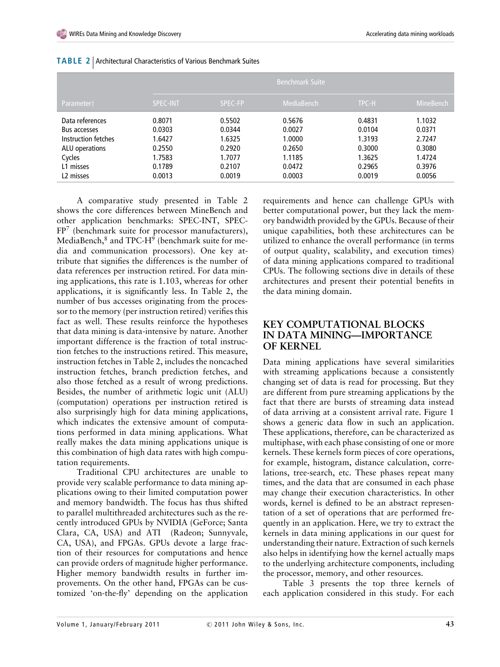|                        |                 | <b>Benchmark Suite</b> |            |        |           |  |  |
|------------------------|-----------------|------------------------|------------|--------|-----------|--|--|
| Parameter <sup>+</sup> | <b>SPEC-INT</b> | SPEC-FP                | MediaBench | TPC-H  | MineBench |  |  |
| Data references        | 0.8071          | 0.5502                 | 0.5676     | 0.4831 | 1.1032    |  |  |
| <b>Bus accesses</b>    | 0.0303          | 0.0344                 | 0.0027     | 0.0104 | 0.0371    |  |  |
| Instruction fetches    | 1.6427          | 1.6325                 | 1.0000     | 1.3193 | 2.7247    |  |  |
| ALU operations         | 0.2550          | 0.2920                 | 0.2650     | 0.3000 | 0.3080    |  |  |
| Cycles                 | 1.7583          | 1.7077                 | 1.1185     | 1.3625 | 1.4724    |  |  |
| L1 misses              | 0.1789          | 0.2107                 | 0.0472     | 0.2965 | 0.3976    |  |  |
| L <sub>2</sub> misses  | 0.0013          | 0.0019                 | 0.0003     | 0.0019 | 0.0056    |  |  |

#### **TABLE 2** Architectural Characteristics of Various Benchmark Suites

A comparative study presented in Table 2 shows the core differences between MineBench and other application benchmarks: SPEC-INT, SPEC- $FP<sup>7</sup>$  (benchmark suite for processor manufacturers), MediaBench, $8$  and TPC-H $9$  (benchmark suite for media and communication processors). One key attribute that signifies the differences is the number of data references per instruction retired. For data mining applications, this rate is 1.103, whereas for other applications, it is significantly less. In Table 2, the number of bus accesses originating from the processor to the memory (per instruction retired) verifies this fact as well. These results reinforce the hypotheses that data mining is data-intensive by nature. Another important difference is the fraction of total instruction fetches to the instructions retired. This measure, instruction fetches in Table 2, includes the noncached instruction fetches, branch prediction fetches, and also those fetched as a result of wrong predictions. Besides, the number of arithmetic logic unit (ALU) (computation) operations per instruction retired is also surprisingly high for data mining applications, which indicates the extensive amount of computations performed in data mining applications. What really makes the data mining applications unique is this combination of high data rates with high computation requirements.

Traditional CPU architectures are unable to provide very scalable performance to data mining applications owing to their limited computation power and memory bandwidth. The focus has thus shifted to parallel multithreaded architectures such as the recently introduced GPUs by NVIDIA (GeForce; Santa Clara, CA, USA) and ATI (Radeon; Sunnyvale, CA, USA), and FPGAs. GPUs devote a large fraction of their resources for computations and hence can provide orders of magnitude higher performance. Higher memory bandwidth results in further improvements. On the other hand, FPGAs can be customized 'on-the-fly' depending on the application requirements and hence can challenge GPUs with better computational power, but they lack the memory bandwidth provided by the GPUs. Because of their unique capabilities, both these architectures can be utilized to enhance the overall performance (in terms of output quality, scalability, and execution times) of data mining applications compared to traditional CPUs. The following sections dive in details of these architectures and present their potential benefits in the data mining domain.

### **KEY COMPUTATIONAL BLOCKS IN DATA MINING—IMPORTANCE OF KERNEL**

Data mining applications have several similarities with streaming applications because a consistently changing set of data is read for processing. But they are different from pure streaming applications by the fact that there are bursts of streaming data instead of data arriving at a consistent arrival rate. Figure 1 shows a generic data flow in such an application. These applications, therefore, can be characterized as multiphase, with each phase consisting of one or more kernels. These kernels form pieces of core operations, for example, histogram, distance calculation, correlations, tree-search, etc. These phases repeat many times, and the data that are consumed in each phase may change their execution characteristics. In other words, kernel is defined to be an abstract representation of a set of operations that are performed frequently in an application. Here, we try to extract the kernels in data mining applications in our quest for understanding their nature. Extraction of such kernels also helps in identifying how the kernel actually maps to the underlying architecture components, including the processor, memory, and other resources.

Table 3 presents the top three kernels of each application considered in this study. For each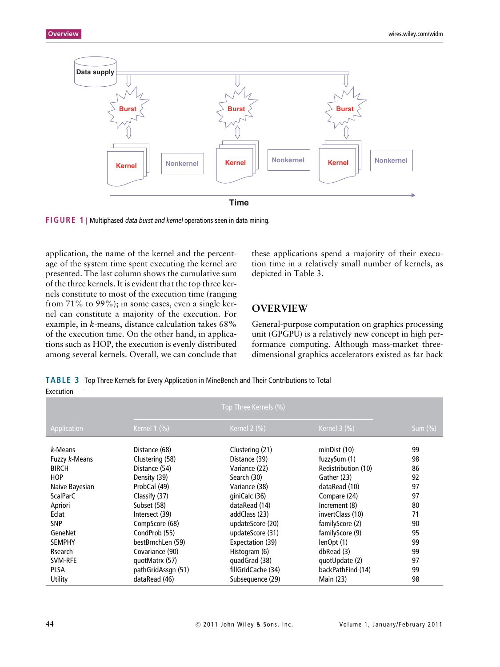



application, the name of the kernel and the percentage of the system time spent executing the kernel are presented. The last column shows the cumulative sum of the three kernels. It is evident that the top three kernels constitute to most of the execution time (ranging from 71% to 99%); in some cases, even a single kernel can constitute a majority of the execution. For example, in *k*-means, distance calculation takes 68% of the execution time. On the other hand, in applications such as HOP, the execution is evenly distributed among several kernels. Overall, we can conclude that these applications spend a majority of their execution time in a relatively small number of kernels, as depicted in Table 3.

## **OVERVIEW**

General-purpose computation on graphics processing unit (GPGPU) is a relatively new concept in high performance computing. Although mass-market threedimensional graphics accelerators existed as far back

**TABLE 3** Top Three Kernels for Every Application in MineBench and Their Contributions to Total Execution

| Application                                                                                                                                                                                    | Kernel $1$ $\left(\% \right)$                                                                                                                                                                                                                          | Kernel $2$ $(\%)$                                                                                                                                                                                                                                        | Kernel $3$ (%)                                                                                                                                                                                                                                    | Sum $(\%)$                                                                       |
|------------------------------------------------------------------------------------------------------------------------------------------------------------------------------------------------|--------------------------------------------------------------------------------------------------------------------------------------------------------------------------------------------------------------------------------------------------------|----------------------------------------------------------------------------------------------------------------------------------------------------------------------------------------------------------------------------------------------------------|---------------------------------------------------------------------------------------------------------------------------------------------------------------------------------------------------------------------------------------------------|----------------------------------------------------------------------------------|
| k-Means<br>Fuzzy k-Means<br><b>BIRCH</b><br><b>HOP</b><br>Naive Bayesian<br><b>ScalParC</b><br>Apriori<br>Eclat<br><b>SNP</b><br>GeneNet<br><b>SEMPHY</b><br>Rsearch<br>SVM-RFE<br><b>PLSA</b> | Distance (68)<br>Clustering (58)<br>Distance (54)<br>Density (39)<br>ProbCal (49)<br>Classify (37)<br>Subset (58)<br>Intersect (39)<br>CompScore (68)<br>CondProb (55)<br>bestBrnchLen (59)<br>Covariance (90)<br>quotMatrx (57)<br>pathGridAssgn (51) | Clustering (21)<br>Distance (39)<br>Variance (22)<br>Search (30)<br>Variance (38)<br>qiniCalc (36)<br>dataRead (14)<br>addClass (23)<br>updateScore (20)<br>updateScore (31)<br>Expectation (39)<br>Histogram (6)<br>quadGrad (38)<br>fillGridCache (34) | minDist (10)<br>fuzzySum (1)<br>Redistribution (10)<br>Gather (23)<br>dataRead (10)<br>Compare (24)<br>Increment (8)<br>invertClass (10)<br>familyScore (2)<br>familyScore (9)<br>lenOpt (1)<br>dbRead (3)<br>quotUpdate (2)<br>backPathFind (14) | 99<br>98<br>86<br>92<br>97<br>97<br>80<br>71<br>90<br>95<br>99<br>99<br>97<br>99 |
| Utility                                                                                                                                                                                        | dataRead (46)                                                                                                                                                                                                                                          | Subsequence (29)                                                                                                                                                                                                                                         | Main (23)                                                                                                                                                                                                                                         | 98                                                                               |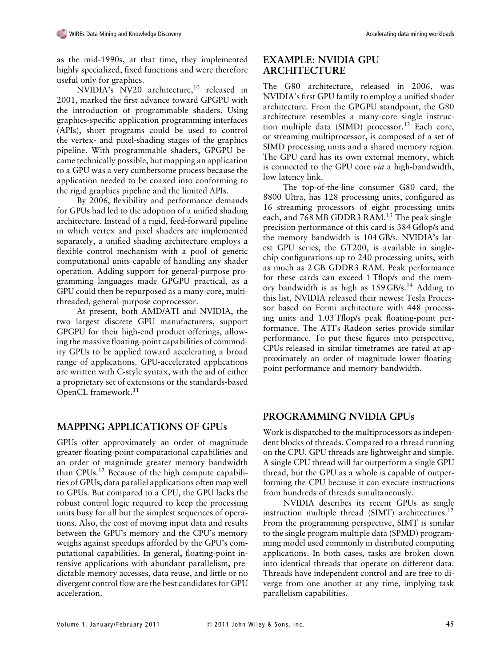as the mid-1990s, at that time, they implemented highly specialized, fixed functions and were therefore useful only for graphics.

NVIDIA's NV20 architecture,<sup>10</sup> released in 2001, marked the first advance toward GPGPU with the introduction of programmable shaders. Using graphics-specific application programming interfaces (APIs), short programs could be used to control the vertex- and pixel-shading stages of the graphics pipeline. With programmable shaders, GPGPU became technically possible, but mapping an application to a GPU was a very cumbersome process because the application needed to be coaxed into conforming to the rigid graphics pipeline and the limited APIs.

By 2006, flexibility and performance demands for GPUs had led to the adoption of a unified shading architecture. Instead of a rigid, feed-forward pipeline in which vertex and pixel shaders are implemented separately, a unified shading architecture employs a flexible control mechanism with a pool of generic computational units capable of handling any shader operation. Adding support for general-purpose programming languages made GPGPU practical, as a GPU could then be repurposed as a many-core, multithreaded, general-purpose coprocessor.

At present, both AMD/ATI and NVIDIA, the two largest discrete GPU manufacturers, support GPGPU for their high-end product offerings, allowing the massive floating-point capabilities of commodity GPUs to be applied toward accelerating a broad range of applications. GPU-accelerated applications are written with C-style syntax, with the aid of either a proprietary set of extensions or the standards-based OpenCL framework.<sup>11</sup>

## **MAPPING APPLICATIONS OF GPUs**

GPUs offer approximately an order of magnitude greater floating-point computational capabilities and an order of magnitude greater memory bandwidth than CPUs.<sup>12</sup> Because of the high compute capabilities of GPUs, data parallel applications often map well to GPUs. But compared to a CPU, the GPU lacks the robust control logic required to keep the processing units busy for all but the simplest sequences of operations. Also, the cost of moving input data and results between the GPU's memory and the CPU's memory weighs against speedups afforded by the GPU's computational capabilities. In general, floating-point intensive applications with abundant parallelism, predictable memory accesses, data reuse, and little or no divergent control flow are the best candidates for GPU acceleration.

## **EXAMPLE: NVIDIA GPU ARCHITECTURE**

The G80 architecture, released in 2006, was NVIDIA's first GPU family to employ a unified shader architecture. From the GPGPU standpoint, the G80 architecture resembles a many-core single instruction multiple data (SIMD) processor.<sup>12</sup> Each core, or streaming multiprocessor, is composed of a set of SIMD processing units and a shared memory region. The GPU card has its own external memory, which is connected to the GPU core *via* a high-bandwidth, low latency link.

The top-of-the-line consumer G80 card, the 8800 Ultra, has 128 processing units, configured as 16 streaming processors of eight processing units each, and 768 MB GDDR3 RAM.<sup>13</sup> The peak singleprecision performance of this card is 384 Gflop/s and the memory bandwidth is 104 GB/s. NVIDIA's latest GPU series, the GT200, is available in singlechip configurations up to 240 processing units, with as much as 2 GB GDDR3 RAM. Peak performance for these cards can exceed 1 Tflop/s and the memory bandwidth is as high as 159 GB/s.<sup>14</sup> Adding to this list, NVIDIA released their newest Tesla Processor based on Fermi architecture with 448 processing units and 1.03 Tflop/s peak floating-point performance. The ATI's Radeon series provide similar performance. To put these figures into perspective, CPUs released in similar timeframes are rated at approximately an order of magnitude lower floatingpoint performance and memory bandwidth.

## **PROGRAMMING NVIDIA GPUs**

Work is dispatched to the multiprocessors as independent blocks of threads. Compared to a thread running on the CPU, GPU threads are lightweight and simple. A single CPU thread will far outperform a single GPU thread, but the GPU as a whole is capable of outperforming the CPU because it can execute instructions from hundreds of threads simultaneously.

NVIDIA describes its recent GPUs as single instruction multiple thread (SIMT) architectures.<sup>12</sup> From the programming perspective, SIMT is similar to the single program multiple data (SPMD) programming model used commonly in distributed computing applications. In both cases, tasks are broken down into identical threads that operate on different data. Threads have independent control and are free to diverge from one another at any time, implying task parallelism capabilities.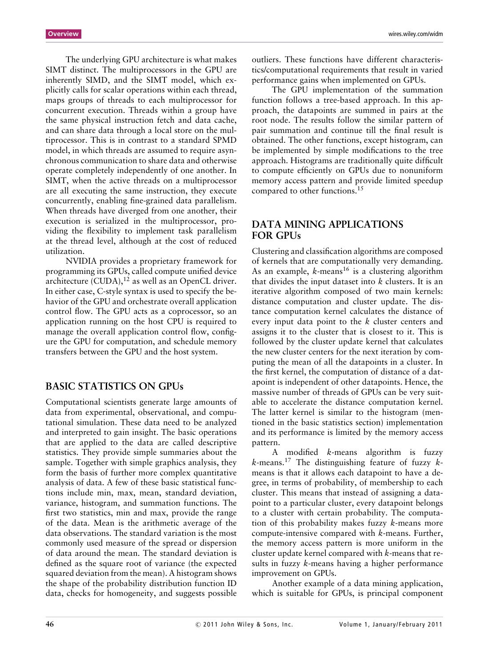The underlying GPU architecture is what makes SIMT distinct. The multiprocessors in the GPU are inherently SIMD, and the SIMT model, which explicitly calls for scalar operations within each thread, maps groups of threads to each multiprocessor for concurrent execution. Threads within a group have the same physical instruction fetch and data cache, and can share data through a local store on the multiprocessor. This is in contrast to a standard SPMD model, in which threads are assumed to require asynchronous communication to share data and otherwise operate completely independently of one another. In SIMT, when the active threads on a multiprocessor are all executing the same instruction, they execute concurrently, enabling fine-grained data parallelism. When threads have diverged from one another, their execution is serialized in the multiprocessor, providing the flexibility to implement task parallelism at the thread level, although at the cost of reduced utilization.

NVIDIA provides a proprietary framework for programming its GPUs, called compute unified device architecture  $\overline{(CUDA)}$ ,<sup>12</sup> as well as an OpenCL driver. In either case, C-style syntax is used to specify the behavior of the GPU and orchestrate overall application control flow. The GPU acts as a coprocessor, so an application running on the host CPU is required to manage the overall application control flow, configure the GPU for computation, and schedule memory transfers between the GPU and the host system.

## **BASIC STATISTICS ON GPUs**

Computational scientists generate large amounts of data from experimental, observational, and computational simulation. These data need to be analyzed and interpreted to gain insight. The basic operations that are applied to the data are called descriptive statistics. They provide simple summaries about the sample. Together with simple graphics analysis, they form the basis of further more complex quantitative analysis of data. A few of these basic statistical functions include min, max, mean, standard deviation, variance, histogram, and summation functions. The first two statistics, min and max, provide the range of the data. Mean is the arithmetic average of the data observations. The standard variation is the most commonly used measure of the spread or dispersion of data around the mean. The standard deviation is defined as the square root of variance (the expected squared deviation from the mean). A histogram shows the shape of the probability distribution function ID data, checks for homogeneity, and suggests possible outliers. These functions have different characteristics/computational requirements that result in varied performance gains when implemented on GPUs.

The GPU implementation of the summation function follows a tree-based approach. In this approach, the datapoints are summed in pairs at the root node. The results follow the similar pattern of pair summation and continue till the final result is obtained. The other functions, except histogram, can be implemented by simple modifications to the tree approach. Histograms are traditionally quite difficult to compute efficiently on GPUs due to nonuniform memory access pattern and provide limited speedup compared to other functions.<sup>15</sup>

### **DATA MINING APPLICATIONS FOR GPUs**

Clustering and classification algorithms are composed of kernels that are computationally very demanding. As an example,  $k$ -means<sup>16</sup> is a clustering algorithm that divides the input dataset into *k* clusters. It is an iterative algorithm composed of two main kernels: distance computation and cluster update. The distance computation kernel calculates the distance of every input data point to the *k* cluster centers and assigns it to the cluster that is closest to it. This is followed by the cluster update kernel that calculates the new cluster centers for the next iteration by computing the mean of all the datapoints in a cluster. In the first kernel, the computation of distance of a datapoint is independent of other datapoints. Hence, the massive number of threads of GPUs can be very suitable to accelerate the distance computation kernel. The latter kernel is similar to the histogram (mentioned in the basic statistics section) implementation and its performance is limited by the memory access pattern.

A modified *k*-means algorithm is fuzzy *k*-means.<sup>17</sup> The distinguishing feature of fuzzy *k*means is that it allows each datapoint to have a degree, in terms of probability, of membership to each cluster. This means that instead of assigning a datapoint to a particular cluster, every datapoint belongs to a cluster with certain probability. The computation of this probability makes fuzzy *k*-means more compute-intensive compared with *k*-means. Further, the memory access pattern is more uniform in the cluster update kernel compared with *k*-means that results in fuzzy *k*-means having a higher performance improvement on GPUs.

Another example of a data mining application, which is suitable for GPUs, is principal component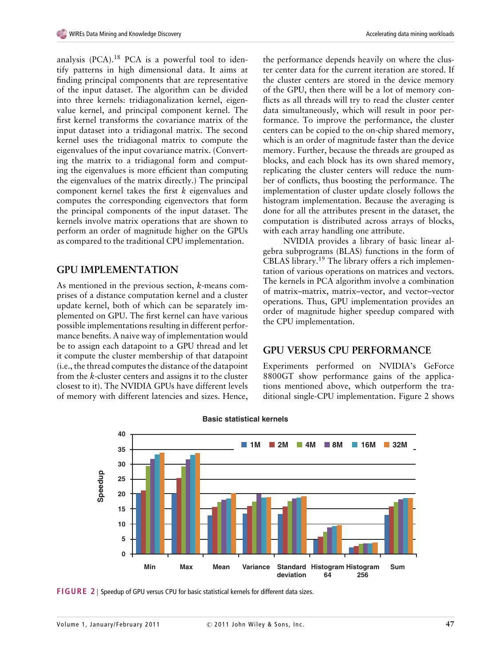analysis  $(PCA).<sup>18</sup> PCA$  is a powerful tool to identify patterns in high dimensional data. It aims at finding principal components that are representative of the input dataset. The algorithm can be divided into three kernels: tridiagonalization kernel, eigenvalue kernel, and principal component kernel. The first kernel transforms the covariance matrix of the input dataset into a tridiagonal matrix. The second kernel uses the tridiagonal matrix to compute the eigenvalues of the input covariance matrix. (Converting the matrix to a tridiagonal form and computing the eigenvalues is more efficient than computing the eigenvalues of the matrix directly.) The principal component kernel takes the first *k* eigenvalues and computes the corresponding eigenvectors that form the principal components of the input dataset. The kernels involve matrix operations that are shown to perform an order of magnitude higher on the GPUs as compared to the traditional CPU implementation.

#### **GPU IMPLEMENTATION**

As mentioned in the previous section, *k*-means comprises of a distance computation kernel and a cluster update kernel, both of which can be separately implemented on GPU. The first kernel can have various possible implementations resulting in different performance benefits. A naive way of implementation would be to assign each datapoint to a GPU thread and let it compute the cluster membership of that datapoint (i.e., the thread computes the distance of the datapoint from the *k*-cluster centers and assigns it to the cluster closest to it). The NVIDIA GPUs have different levels of memory with different latencies and sizes. Hence, the performance depends heavily on where the cluster center data for the current iteration are stored. If the cluster centers are stored in the device memory of the GPU, then there will be a lot of memory conflicts as all threads will try to read the cluster center data simultaneously, which will result in poor performance. To improve the performance, the cluster centers can be copied to the on-chip shared memory, which is an order of magnitude faster than the device memory. Further, because the threads are grouped as blocks, and each block has its own shared memory, replicating the cluster centers will reduce the number of conflicts, thus boosting the performance. The implementation of cluster update closely follows the histogram implementation. Because the averaging is done for all the attributes present in the dataset, the computation is distributed across arrays of blocks, with each array handling one attribute.

NVIDIA provides a library of basic linear algebra subprograms (BLAS) functions in the form of CBLAS library.<sup>19</sup> The library offers a rich implementation of various operations on matrices and vectors. The kernels in PCA algorithm involve a combination of matrix–matrix, matrix–vector, and vector–vector operations. Thus, GPU implementation provides an order of magnitude higher speedup compared with the CPU implementation.

#### **GPU VERSUS CPU PERFORMANCE**

Experiments performed on NVIDIA's GeForce 8800GT show performance gains of the applications mentioned above, which outperform the traditional single-CPU implementation. Figure 2 shows



**Basic statistical kernels**

**FIGURE 2** | Speedup of GPU versus CPU for basic statistical kernels for different data sizes.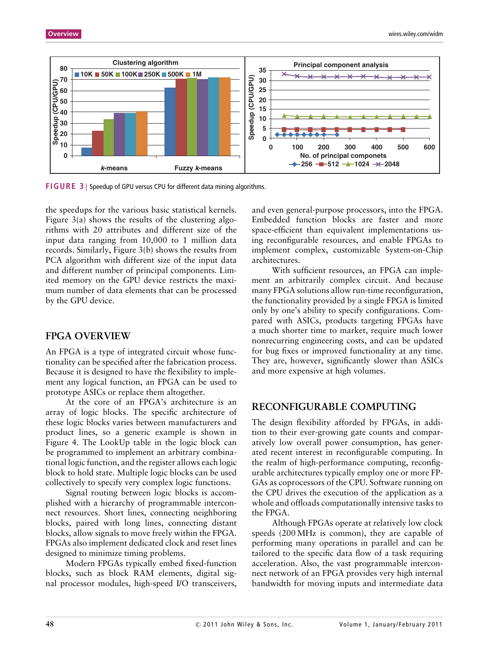

**FIGURE 3** | Speedup of GPU versus CPU for different data mining algorithms.

the speedups for the various basic statistical kernels. Figure 3(a) shows the results of the clustering algorithms with 20 attributes and different size of the input data ranging from 10,000 to 1 million data records. Similarly, Figure 3(b) shows the results from PCA algorithm with different size of the input data and different number of principal components. Limited memory on the GPU device restricts the maximum number of data elements that can be processed by the GPU device.

#### **FPGA OVERVIEW**

An FPGA is a type of integrated circuit whose functionality can be specified after the fabrication process. Because it is designed to have the flexibility to implement any logical function, an FPGA can be used to prototype ASICs or replace them altogether.

At the core of an FPGA's architecture is an array of logic blocks. The specific architecture of these logic blocks varies between manufacturers and product lines, so a generic example is shown in Figure 4. The LookUp table in the logic block can be programmed to implement an arbitrary combinational logic function, and the register allows each logic block to hold state. Multiple logic blocks can be used collectively to specify very complex logic functions.

Signal routing between logic blocks is accomplished with a hierarchy of programmable interconnect resources. Short lines, connecting neighboring blocks, paired with long lines, connecting distant blocks, allow signals to move freely within the FPGA. FPGAs also implement dedicated clock and reset lines designed to minimize timing problems.

Modern FPGAs typically embed fixed-function blocks, such as block RAM elements, digital signal processor modules, high-speed I/O transceivers,

and even general-purpose processors, into the FPGA. Embedded function blocks are faster and more space-efficient than equivalent implementations using reconfigurable resources, and enable FPGAs to implement complex, customizable System-on-Chip architectures.

With sufficient resources, an FPGA can implement an arbitrarily complex circuit. And because many FPGA solutions allow run-time reconfiguration, the functionality provided by a single FPGA is limited only by one's ability to specify configurations. Compared with ASICs, products targeting FPGAs have a much shorter time to market, require much lower nonrecurring engineering costs, and can be updated for bug fixes or improved functionality at any time. They are, however, significantly slower than ASICs and more expensive at high volumes.

## **RECONFIGURABLE COMPUTING**

The design flexibility afforded by FPGAs, in addition to their ever-growing gate counts and comparatively low overall power consumption, has generated recent interest in reconfigurable computing. In the realm of high-performance computing, reconfigurable architectures typically employ one or more FP-GAs as coprocessors of the CPU. Software running on the CPU drives the execution of the application as a whole and offloads computationally intensive tasks to the FPGA.

Although FPGAs operate at relatively low clock speeds (200 MHz is common), they are capable of performing many operations in parallel and can be tailored to the specific data flow of a task requiring acceleration. Also, the vast programmable interconnect network of an FPGA provides very high internal bandwidth for moving inputs and intermediate data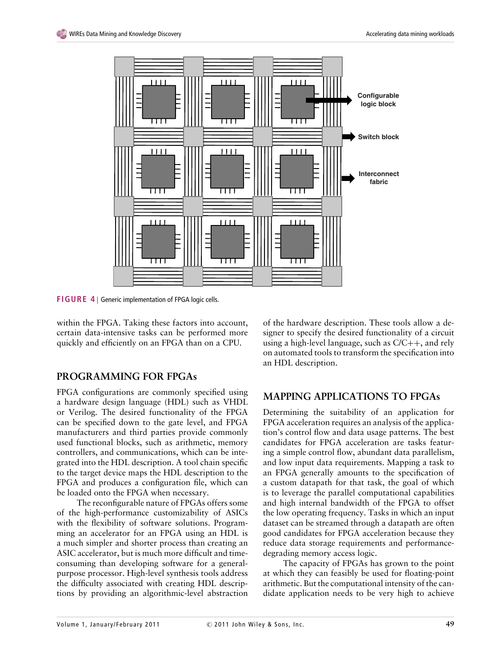

**FIGURE 4** | Generic implementation of FPGA logic cells.

within the FPGA. Taking these factors into account, certain data-intensive tasks can be performed more quickly and efficiently on an FPGA than on a CPU.

## **PROGRAMMING FOR FPGAs**

FPGA configurations are commonly specified using a hardware design language (HDL) such as VHDL or Verilog. The desired functionality of the FPGA can be specified down to the gate level, and FPGA manufacturers and third parties provide commonly used functional blocks, such as arithmetic, memory controllers, and communications, which can be integrated into the HDL description. A tool chain specific to the target device maps the HDL description to the FPGA and produces a configuration file, which can be loaded onto the FPGA when necessary.

The reconfigurable nature of FPGAs offers some of the high-performance customizability of ASICs with the flexibility of software solutions. Programming an accelerator for an FPGA using an HDL is a much simpler and shorter process than creating an ASIC accelerator, but is much more difficult and timeconsuming than developing software for a generalpurpose processor. High-level synthesis tools address the difficulty associated with creating HDL descriptions by providing an algorithmic-level abstraction

of the hardware description. These tools allow a designer to specify the desired functionality of a circuit using a high-level language, such as  $C/C++$ , and rely on automated tools to transform the specification into an HDL description.

## **MAPPING APPLICATIONS TO FPGAs**

Determining the suitability of an application for FPGA acceleration requires an analysis of the application's control flow and data usage patterns. The best candidates for FPGA acceleration are tasks featuring a simple control flow, abundant data parallelism, and low input data requirements. Mapping a task to an FPGA generally amounts to the specification of a custom datapath for that task, the goal of which is to leverage the parallel computational capabilities and high internal bandwidth of the FPGA to offset the low operating frequency. Tasks in which an input dataset can be streamed through a datapath are often good candidates for FPGA acceleration because they reduce data storage requirements and performancedegrading memory access logic.

The capacity of FPGAs has grown to the point at which they can feasibly be used for floating-point arithmetic. But the computational intensity of the candidate application needs to be very high to achieve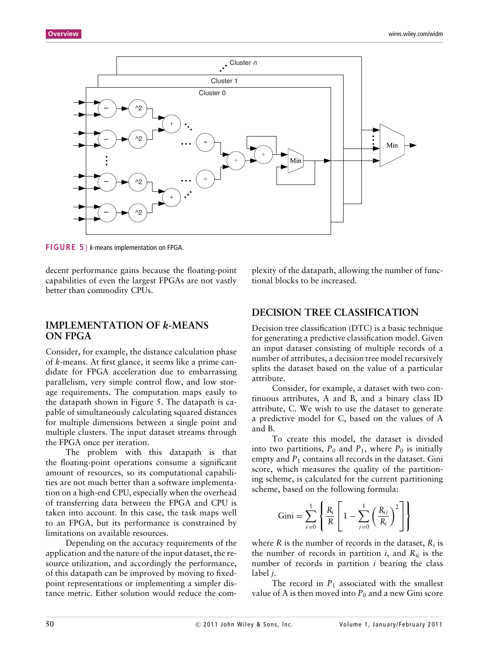

**FIGURE 5** | <sup>k</sup>-means implementation on FPGA.

decent performance gains because the floating-point capabilities of even the largest FPGAs are not vastly better than commodity CPUs.

## **IMPLEMENTATION OF** *k***-MEANS ON FPGA**

Consider, for example, the distance calculation phase of *k*-means. At first glance, it seems like a prime candidate for FPGA acceleration due to embarrassing parallelism, very simple control flow, and low storage requirements. The computation maps easily to the datapath shown in Figure 5. The datapath is capable of simultaneously calculating squared distances for multiple dimensions between a single point and multiple clusters. The input dataset streams through the FPGA once per iteration.

The problem with this datapath is that the floating-point operations consume a significant amount of resources, so its computational capabilities are not much better than a software implementation on a high-end CPU, especially when the overhead of transferring data between the FPGA and CPU is taken into account. In this case, the task maps well to an FPGA, but its performance is constrained by limitations on available resources.

Depending on the accuracy requirements of the application and the nature of the input dataset, the resource utilization, and accordingly the performance, of this datapath can be improved by moving to fixedpoint representations or implementing a simpler distance metric. Either solution would reduce the complexity of the datapath, allowing the number of functional blocks to be increased.

## **DECISION TREE CLASSIFICATION**

Decision tree classification (DTC) is a basic technique for generating a predictive classification model. Given an input dataset consisting of multiple records of a number of attributes, a decision tree model recursively splits the dataset based on the value of a particular attribute.

Consider, for example, a dataset with two continuous attributes, A and B, and a binary class ID attribute, C. We wish to use the dataset to generate a predictive model for C, based on the values of A and B.

To create this model, the dataset is divided into two partitions,  $P_0$  and  $P_1$ , where  $P_0$  is initially empty and  $P_1$  contains all records in the dataset. Gini score, which measures the quality of the partitioning scheme, is calculated for the current partitioning scheme, based on the following formula:

$$
Gini = \sum_{i=0}^{1} \left\{ \frac{R_i}{R} \left[ 1 - \sum_{j=0}^{1} \left( \frac{R_{ij}}{R_i} \right)^2 \right] \right\}
$$

where  $R$  is the number of records in the dataset,  $R_i$  is the number of records in partition  $i$ , and  $R_{ij}$  is the number of records in partition *i* bearing the class label *j*.

The record in  $P_1$  associated with the smallest value of A is then moved into  $P_0$  and a new Gini score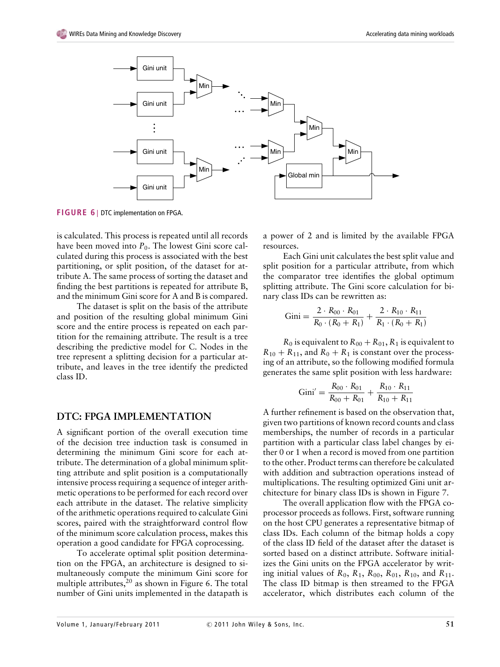

**FIGURE 6** | DTC implementation on FPGA.

is calculated. This process is repeated until all records have been moved into  $P_0$ . The lowest Gini score calculated during this process is associated with the best partitioning, or split position, of the dataset for attribute A. The same process of sorting the dataset and finding the best partitions is repeated for attribute B, and the minimum Gini score for A and B is compared.

The dataset is split on the basis of the attribute and position of the resulting global minimum Gini score and the entire process is repeated on each partition for the remaining attribute. The result is a tree describing the predictive model for C. Nodes in the tree represent a splitting decision for a particular attribute, and leaves in the tree identify the predicted class ID.

#### **DTC: FPGA IMPLEMENTATION**

A significant portion of the overall execution time of the decision tree induction task is consumed in determining the minimum Gini score for each attribute. The determination of a global minimum splitting attribute and split position is a computationally intensive process requiring a sequence of integer arithmetic operations to be performed for each record over each attribute in the dataset. The relative simplicity of the arithmetic operations required to calculate Gini scores, paired with the straightforward control flow of the minimum score calculation process, makes this operation a good candidate for FPGA coprocessing.

To accelerate optimal split position determination on the FPGA, an architecture is designed to simultaneously compute the minimum Gini score for multiple attributes, $20$  as shown in Figure 6. The total number of Gini units implemented in the datapath is

a power of 2 and is limited by the available FPGA resources.

Each Gini unit calculates the best split value and split position for a particular attribute, from which the comparator tree identifies the global optimum splitting attribute. The Gini score calculation for binary class IDs can be rewritten as:

Gini = 
$$
\frac{2 \cdot R_{00} \cdot R_{01}}{R_0 \cdot (R_0 + R_1)} + \frac{2 \cdot R_{10} \cdot R_{11}}{R_1 \cdot (R_0 + R_1)}
$$

 $R_0$  is equivalent to  $R_{00} + R_{01}$ ,  $R_1$  is equivalent to  $R_{10} + R_{11}$ , and  $R_0 + R_1$  is constant over the processing of an attribute, so the following modified formula generates the same split position with less hardware:

$$
Gini' = \frac{R_{00} \cdot R_{01}}{R_{00} + R_{01}} + \frac{R_{10} \cdot R_{11}}{R_{10} + R_{11}}
$$

A further refinement is based on the observation that, given two partitions of known record counts and class memberships, the number of records in a particular partition with a particular class label changes by either 0 or 1 when a record is moved from one partition to the other. Product terms can therefore be calculated with addition and subtraction operations instead of multiplications. The resulting optimized Gini unit architecture for binary class IDs is shown in Figure 7.

The overall application flow with the FPGA coprocessor proceeds as follows. First, software running on the host CPU generates a representative bitmap of class IDs. Each column of the bitmap holds a copy of the class ID field of the dataset after the dataset is sorted based on a distinct attribute. Software initializes the Gini units on the FPGA accelerator by writing initial values of  $R_0$ ,  $R_1$ ,  $R_{00}$ ,  $R_{01}$ ,  $R_{10}$ , and  $R_{11}$ . The class ID bitmap is then streamed to the FPGA accelerator, which distributes each column of the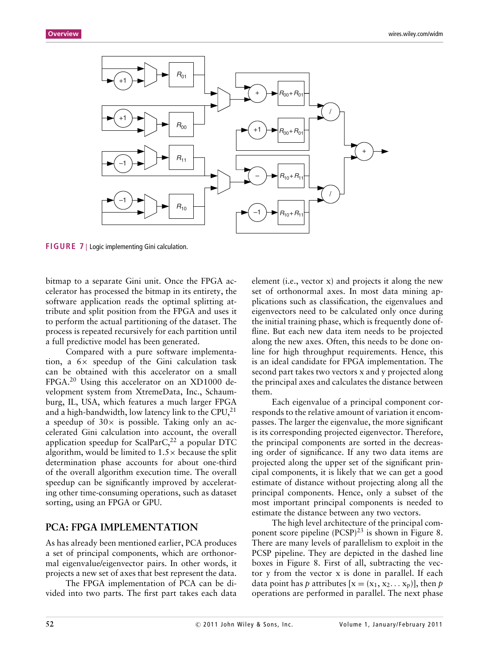

**FIGURE 7** | Logic implementing Gini calculation.

bitmap to a separate Gini unit. Once the FPGA accelerator has processed the bitmap in its entirety, the software application reads the optimal splitting attribute and split position from the FPGA and uses it to perform the actual partitioning of the dataset. The process is repeated recursively for each partition until a full predictive model has been generated.

Compared with a pure software implementation, a 6× speedup of the Gini calculation task can be obtained with this accelerator on a small FPGA.<sup>20</sup> Using this accelerator on an XD1000 development system from XtremeData, Inc., Schaumburg, IL, USA, which features a much larger FPGA and a high-bandwidth, low latency link to the CPU, $^{21}$ a speedup of  $30\times$  is possible. Taking only an accelerated Gini calculation into account, the overall application speedup for ScalParC, $^{22}$  a popular DTC algorithm, would be limited to  $1.5\times$  because the split determination phase accounts for about one-third of the overall algorithm execution time. The overall speedup can be significantly improved by accelerating other time-consuming operations, such as dataset sorting, using an FPGA or GPU.

#### **PCA: FPGA IMPLEMENTATION**

As has already been mentioned earlier, PCA produces a set of principal components, which are orthonormal eigenvalue/eigenvector pairs. In other words, it projects a new set of axes that best represent the data.

The FPGA implementation of PCA can be divided into two parts. The first part takes each data element (i.e., vector x) and projects it along the new set of orthonormal axes. In most data mining applications such as classification, the eigenvalues and eigenvectors need to be calculated only once during the initial training phase, which is frequently done offline. But each new data item needs to be projected along the new axes. Often, this needs to be done online for high throughput requirements. Hence, this is an ideal candidate for FPGA implementation. The second part takes two vectors x and y projected along the principal axes and calculates the distance between them.

Each eigenvalue of a principal component corresponds to the relative amount of variation it encompasses. The larger the eigenvalue, the more significant is its corresponding projected eigenvector. Therefore, the principal components are sorted in the decreasing order of significance. If any two data items are projected along the upper set of the significant principal components, it is likely that we can get a good estimate of distance without projecting along all the principal components. Hence, only a subset of the most important principal components is needed to estimate the distance between any two vectors.

The high level architecture of the principal component score pipeline (PCSP)<sup>23</sup> is shown in Figure 8. There are many levels of parallelism to exploit in the PCSP pipeline. They are depicted in the dashed line boxes in Figure 8. First of all, subtracting the vector y from the vector x is done in parallel. If each data point has *p* attributes  $[x = (x_1, x_2, \ldots, x_p)]$ , then *p* operations are performed in parallel. The next phase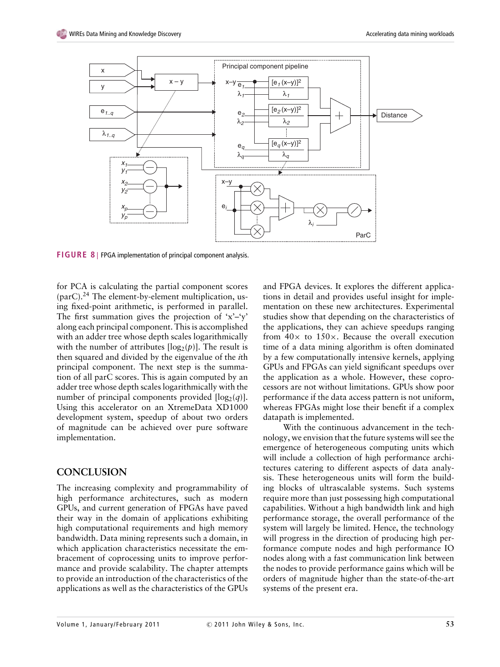

**FIGURE 8** | FPGA implementation of principal component analysis.

for PCA is calculating the partial component scores  $(parC).<sup>24</sup>$  The element-by-element multiplication, using fixed-point arithmetic, is performed in parallel. The first summation gives the projection of  $x'-y'$ along each principal component. This is accomplished with an adder tree whose depth scales logarithmically with the number of attributes  $[\log_2(p)]$ . The result is then squared and divided by the eigenvalue of the *i*th principal component. The next step is the summation of all parC scores. This is again computed by an adder tree whose depth scales logarithmically with the number of principal components provided  $[\log_2(q)]$ . Using this accelerator on an XtremeData XD1000 development system, speedup of about two orders of magnitude can be achieved over pure software implementation.

## **CONCLUSION**

The increasing complexity and programmability of high performance architectures, such as modern GPUs, and current generation of FPGAs have paved their way in the domain of applications exhibiting high computational requirements and high memory bandwidth. Data mining represents such a domain, in which application characteristics necessitate the embracement of coprocessing units to improve performance and provide scalability. The chapter attempts to provide an introduction of the characteristics of the applications as well as the characteristics of the GPUs

and FPGA devices. It explores the different applications in detail and provides useful insight for implementation on these new architectures. Experimental studies show that depending on the characteristics of the applications, they can achieve speedups ranging from  $40\times$  to  $150\times$ . Because the overall execution time of a data mining algorithm is often dominated by a few computationally intensive kernels, applying GPUs and FPGAs can yield significant speedups over the application as a whole. However, these coprocessors are not without limitations. GPUs show poor performance if the data access pattern is not uniform, whereas FPGAs might lose their benefit if a complex datapath is implemented.

With the continuous advancement in the technology, we envision that the future systems will see the emergence of heterogeneous computing units which will include a collection of high performance architectures catering to different aspects of data analysis. These heterogeneous units will form the building blocks of ultrascalable systems. Such systems require more than just possessing high computational capabilities. Without a high bandwidth link and high performance storage, the overall performance of the system will largely be limited. Hence, the technology will progress in the direction of producing high performance compute nodes and high performance IO nodes along with a fast communication link between the nodes to provide performance gains which will be orders of magnitude higher than the state-of-the-art systems of the present era.